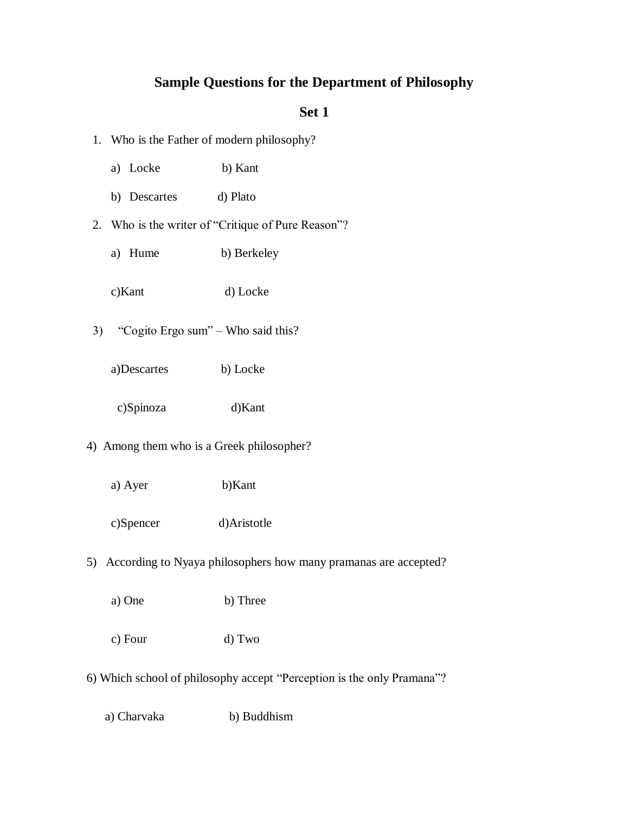# **Sample Questions for the Department of Philosophy**

## **Set 1**

- 1. Who is the Father of modern philosophy?
	- a) Locke b) Kant
	- b) Descartes d) Plato
- 2. Who is the writer of "Critique of Pure Reason"?
	- a) Hume b) Berkeley
	- c)Kant d) Locke
- 3) "Cogito Ergo sum" Who said this?
	- a)Descartes b) Locke
	- c)Spinoza d)Kant
- 4) Among them who is a Greek philosopher?
	- a) Ayer b)Kant
	- c)Spencer d)Aristotle
- 5) According to Nyaya philosophers how many pramanas are accepted?
	- a) One b) Three
	- c) Four d) Two
- 6) Which school of philosophy accept "Perception is the only Pramana"?
	- a) Charvaka b) Buddhism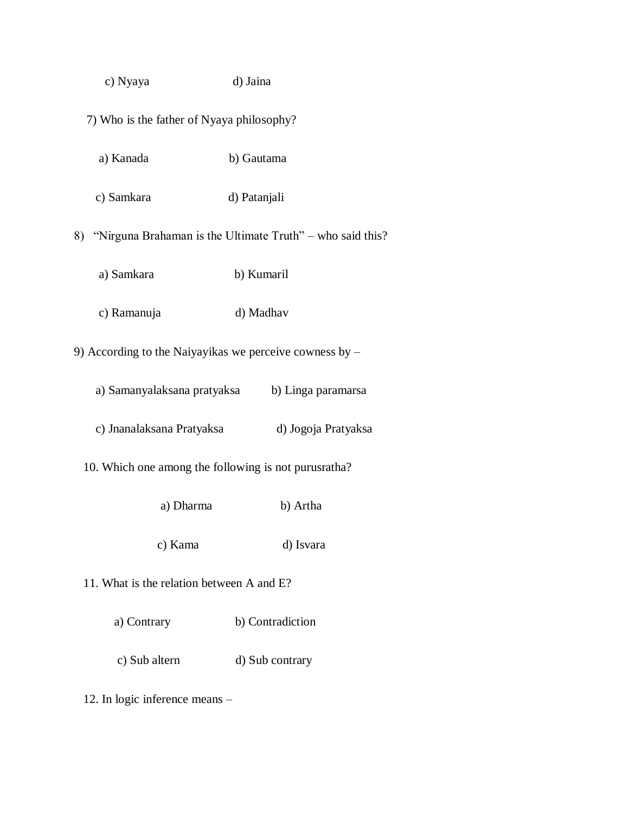| c) Nyaya | d) Jaina |
|----------|----------|
|----------|----------|

- 7) Who is the father of Nyaya philosophy?
	- a) Kanada b) Gautama
	- c) Samkara d) Patanjali

8) "Nirguna Brahaman is the Ultimate Truth" – who said this?

- a) Samkara b) Kumaril
- c) Ramanuja d) Madhav

9) According to the Naiyayikas we perceive cowness by –

- a) Samanyalaksana pratyaksa b) Linga paramarsa
- c) Jnanalaksana Pratyaksa d) Jogoja Pratyaksa
- 10. Which one among the following is not purusratha?
	- a) Dharma b) Artha
	- c) Kama d) Isvara
- 11. What is the relation between A and E?
	- a) Contrary b) Contradiction
	- c) Sub altern d) Sub contrary
- 12. In logic inference means –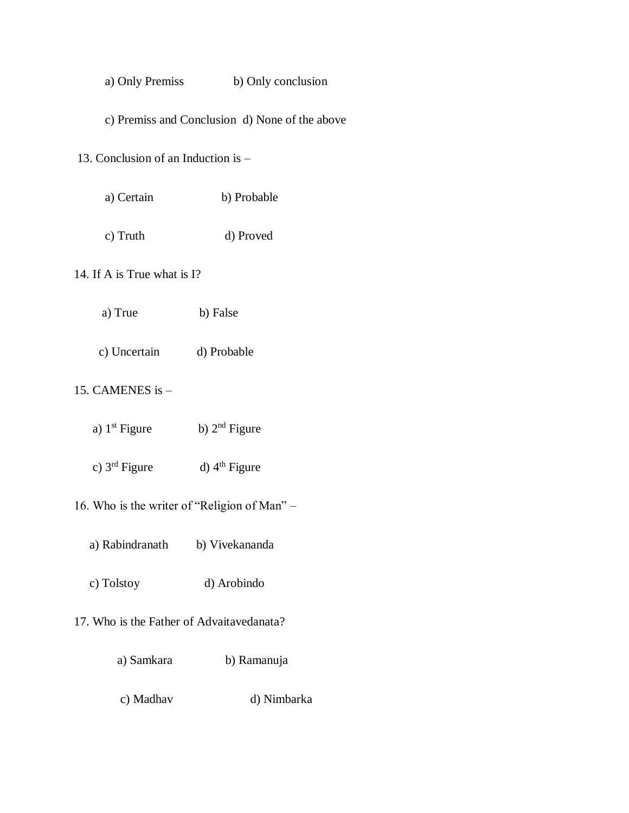a) Only Premiss b) Only conclusion

c) Premiss and Conclusion d) None of the above

13. Conclusion of an Induction is –

- a) Certain b) Probable
- c) Truth d) Proved

14. If A is True what is I?

- a) True b) False
- c) Uncertain d) Probable

15. CAMENES is –

- a)  $1^{st}$  Figure b)  $2^{nd}$  Figure
- c)  $3<sup>rd</sup>$  Figure d)  $4<sup>th</sup>$  Figure
- 16. Who is the writer of "Religion of Man"
	- a) Rabindranath b) Vivekananda
	- c) Tolstoy d) Arobindo
- 17. Who is the Father of Advaitavedanata?
	- a) Samkara b) Ramanuja
	- c) Madhav d) Nimbarka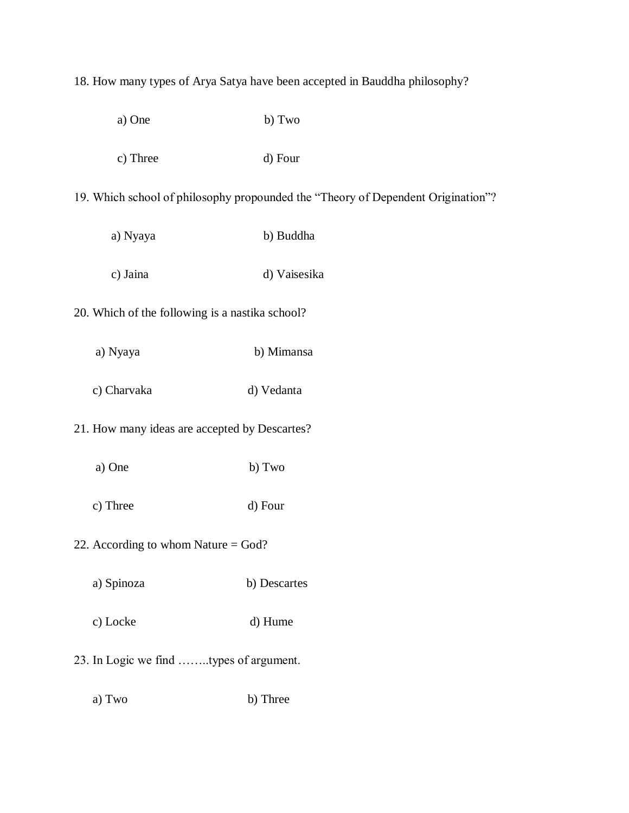## 18. How many types of Arya Satya have been accepted in Bauddha philosophy?

- a) One b) Two
- c) Three d) Four

19. Which school of philosophy propounded the "Theory of Dependent Origination"?

- a) Nyaya b) Buddha
- c) Jaina d) Vaisesika
- 20. Which of the following is a nastika school?
	- a) Nyaya b) Mimansa
	- c) Charvaka d) Vedanta

# 21. How many ideas are accepted by Descartes?

- a) One b) Two
- c) Three d) Four
- 22. According to whom Nature = God?
	- a) Spinoza b) Descartes
	- c) Locke d) Hume
- 23. In Logic we find ……..types of argument.
	- a) Two b) Three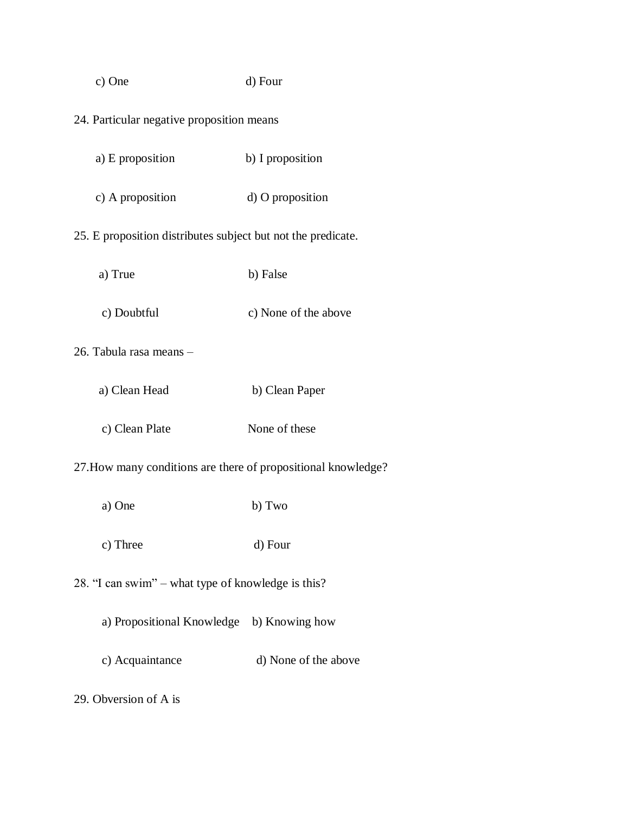| c) One                                                        | d) Four              |  |
|---------------------------------------------------------------|----------------------|--|
| 24. Particular negative proposition means                     |                      |  |
| a) E proposition                                              | b) I proposition     |  |
| c) A proposition                                              | d) O proposition     |  |
| 25. E proposition distributes subject but not the predicate.  |                      |  |
| a) True                                                       | b) False             |  |
| c) Doubtful                                                   | c) None of the above |  |
| 26. Tabula rasa means -                                       |                      |  |
| a) Clean Head                                                 | b) Clean Paper       |  |
| c) Clean Plate                                                | None of these        |  |
| 27. How many conditions are there of propositional knowledge? |                      |  |
| a) One                                                        | b) Two               |  |
| c) Three                                                      | d) Four              |  |
| 28. "I can swim" – what type of knowledge is this?            |                      |  |
| a) Propositional Knowledge b) Knowing how                     |                      |  |
|                                                               |                      |  |

c) Acquaintance d) None of the above

29. Obversion of A is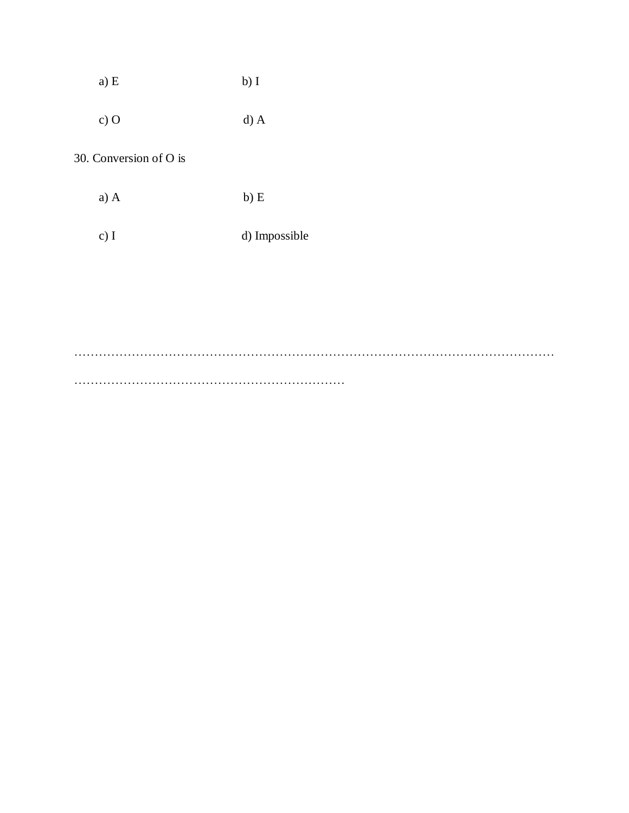| a) E | $b)$ I |
|------|--------|
|      |        |

c) O d) A

30. Conversion of O is

a) A b) E

c) I d) Impossible

……………………………………………………………………………………………………… …………………………………………………………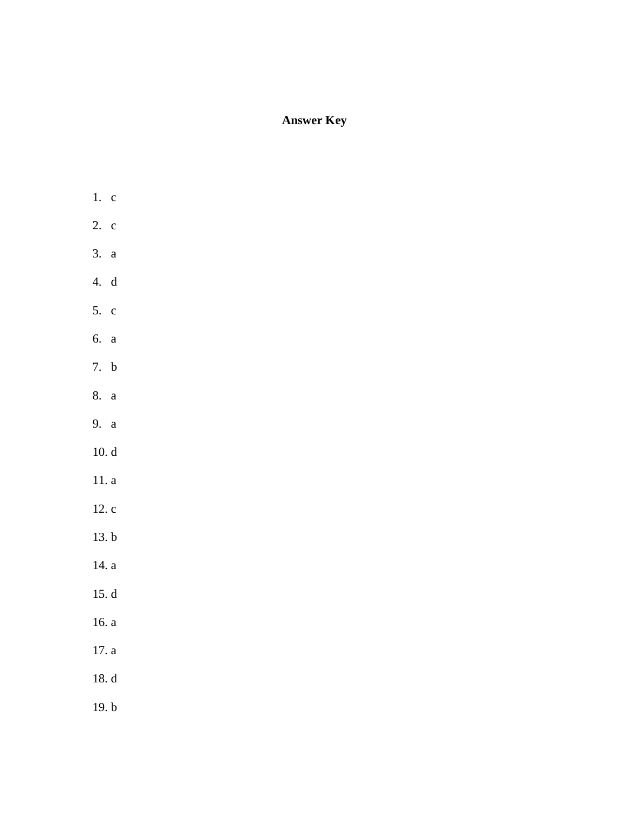# **Answer Key**

- 1. c 2. c 3. a 4. d 5. c
- 6. a
- 7. b
- 8. a
- 9. a
- 10. d
- 11. a
- 12. c
- 13. b
- 14. a
- 15. d
- 16. a
- 17. a
- 18. d
- 19. b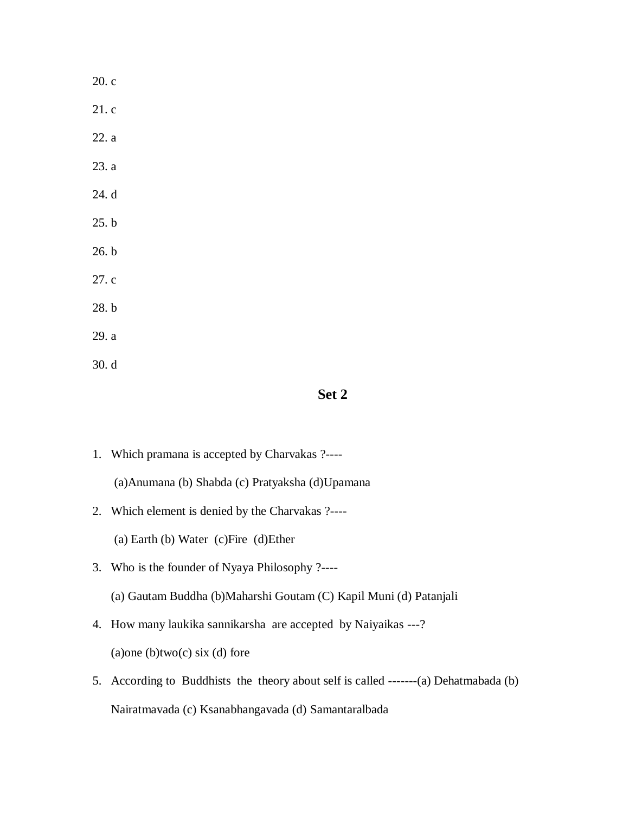| 20. c |  |
|-------|--|
| 21.c  |  |
| 22. a |  |
| 23. a |  |
| 24. d |  |
| 25. b |  |
| 26. b |  |
| 27.c  |  |
| 28. b |  |
| 29. a |  |
| 30. d |  |

## **Set 2**

- 1. Which pramana is accepted by Charvakas ?---- (a)Anumana (b) Shabda (c) Pratyaksha (d)Upamana
- 2. Which element is denied by the Charvakas ?----

(a) Earth (b) Water (c)Fire (d)Ether

3. Who is the founder of Nyaya Philosophy ?----

(a) Gautam Buddha (b)Maharshi Goutam (C) Kapil Muni (d) Patanjali

- 4. How many laukika sannikarsha are accepted by Naiyaikas ---?  $(a)$ one  $(b)$ two $(c)$  six  $(d)$  fore
- 5. According to Buddhists the theory about self is called -------(a) Dehatmabada (b) Nairatmavada (c) Ksanabhangavada (d) Samantaralbada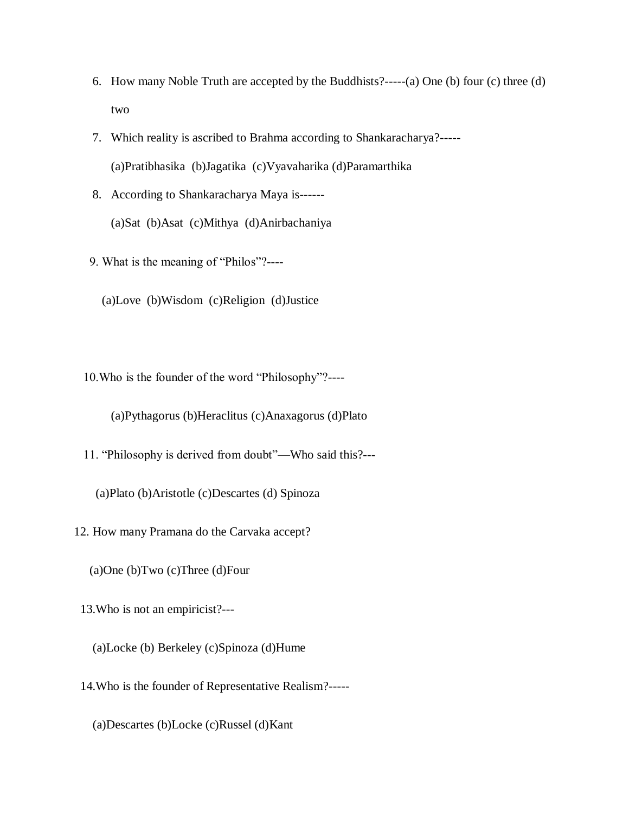- 6. How many Noble Truth are accepted by the Buddhists?-----(a) One (b) four (c) three (d) two
- 7. Which reality is ascribed to Brahma according to Shankaracharya?----- (a)Pratibhasika (b)Jagatika (c)Vyavaharika (d)Paramarthika
- 8. According to Shankaracharya Maya is------ (a)Sat (b)Asat (c)Mithya (d)Anirbachaniya
- 9. What is the meaning of "Philos"?----

(a)Love (b)Wisdom (c)Religion (d)Justice

10.Who is the founder of the word "Philosophy"?----

(a)Pythagorus (b)Heraclitus (c)Anaxagorus (d)Plato

11. "Philosophy is derived from doubt"—Who said this?---

(a)Plato (b)Aristotle (c)Descartes (d) Spinoza

12. How many Pramana do the Carvaka accept?

(a)One (b)Two (c)Three (d)Four

13.Who is not an empiricist?---

- (a)Locke (b) Berkeley (c)Spinoza (d)Hume
- 14.Who is the founder of Representative Realism?-----

(a)Descartes (b)Locke (c)Russel (d)Kant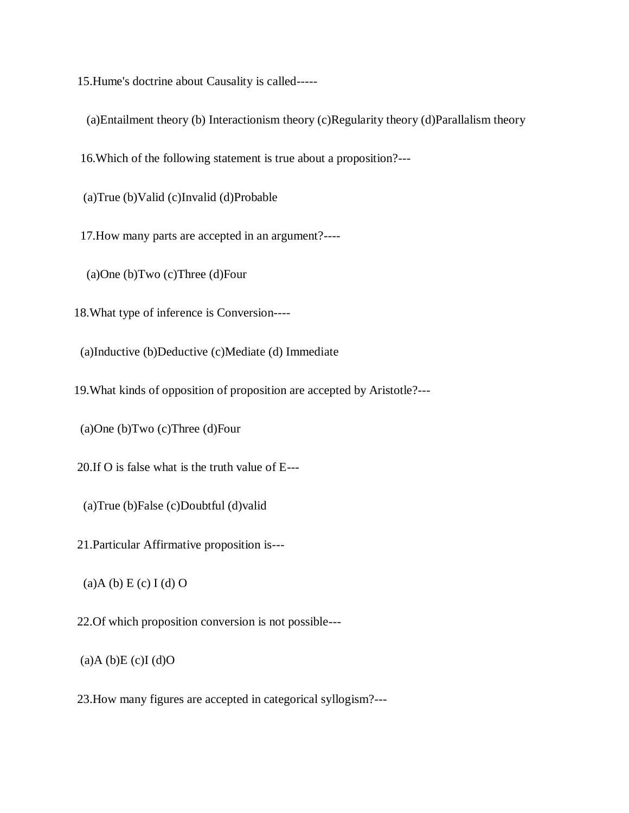15.Hume's doctrine about Causality is called-----

(a)Entailment theory (b) Interactionism theory (c)Regularity theory (d)Parallalism theory

16.Which of the following statement is true about a proposition?---

(a)True (b)Valid (c)Invalid (d)Probable

17.How many parts are accepted in an argument?----

(a)One (b)Two (c)Three (d)Four

18.What type of inference is Conversion----

(a)Inductive (b)Deductive (c)Mediate (d) Immediate

19.What kinds of opposition of proposition are accepted by Aristotle?---

(a)One (b)Two (c)Three (d)Four

20.If O is false what is the truth value of E---

(a)True (b)False (c)Doubtful (d)valid

21.Particular Affirmative proposition is---

 $(a)$ A (b) E (c) I (d) O

22.Of which proposition conversion is not possible---

 $(a)$ A  $(b)$ E  $(c)$ I  $(d)$ O

23.How many figures are accepted in categorical syllogism?---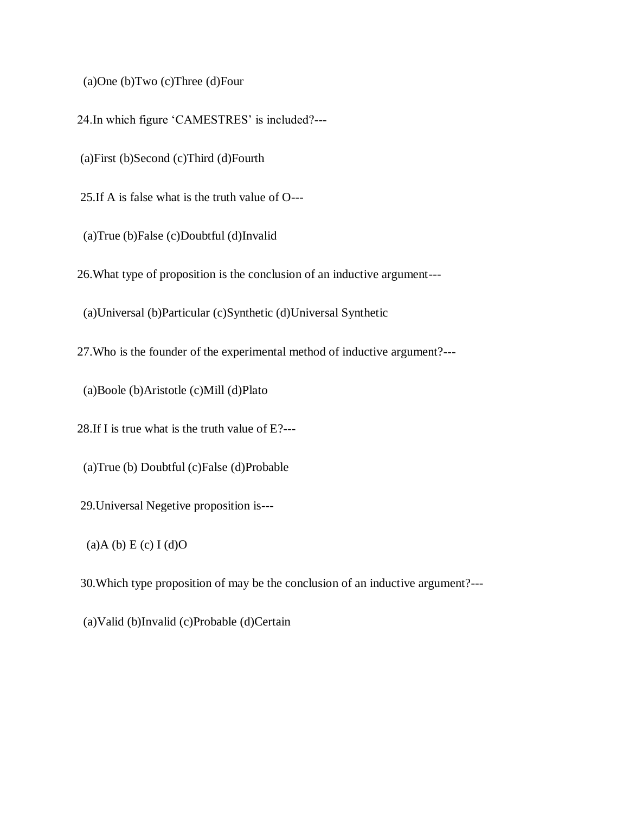(a)One (b)Two (c)Three (d)Four

24.In which figure 'CAMESTRES' is included?---

(a)First (b)Second (c)Third (d)Fourth

25.If A is false what is the truth value of O---

(a)True (b)False (c)Doubtful (d)Invalid

26.What type of proposition is the conclusion of an inductive argument---

(a)Universal (b)Particular (c)Synthetic (d)Universal Synthetic

27.Who is the founder of the experimental method of inductive argument?---

(a)Boole (b)Aristotle (c)Mill (d)Plato

28.If I is true what is the truth value of E?---

(a)True (b) Doubtful (c)False (d)Probable

29.Universal Negetive proposition is---

 $(a)$ A  $(b)$  E  $(c)$  I  $(d)$ O

30.Which type proposition of may be the conclusion of an inductive argument?---

(a)Valid (b)Invalid (c)Probable (d)Certain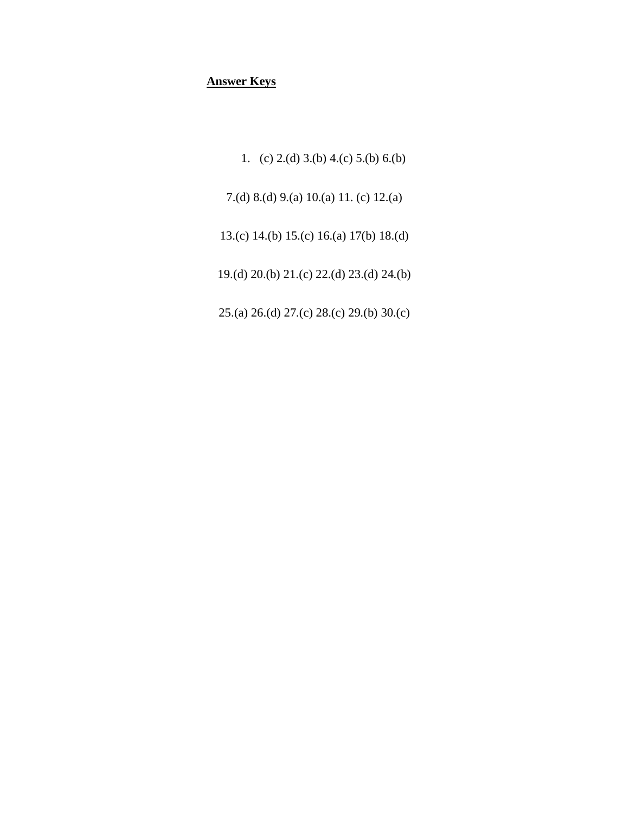# **Answer Keys**

1. (c) 2.(d) 3.(b) 4.(c) 5.(b) 6.(b) 7.(d) 8.(d) 9.(a) 10.(a) 11. (c) 12.(a) 13.(c) 14.(b) 15.(c) 16.(a) 17(b) 18.(d) 19.(d) 20.(b) 21.(c) 22.(d) 23.(d) 24.(b) 25.(a) 26.(d) 27.(c) 28.(c) 29.(b) 30.(c)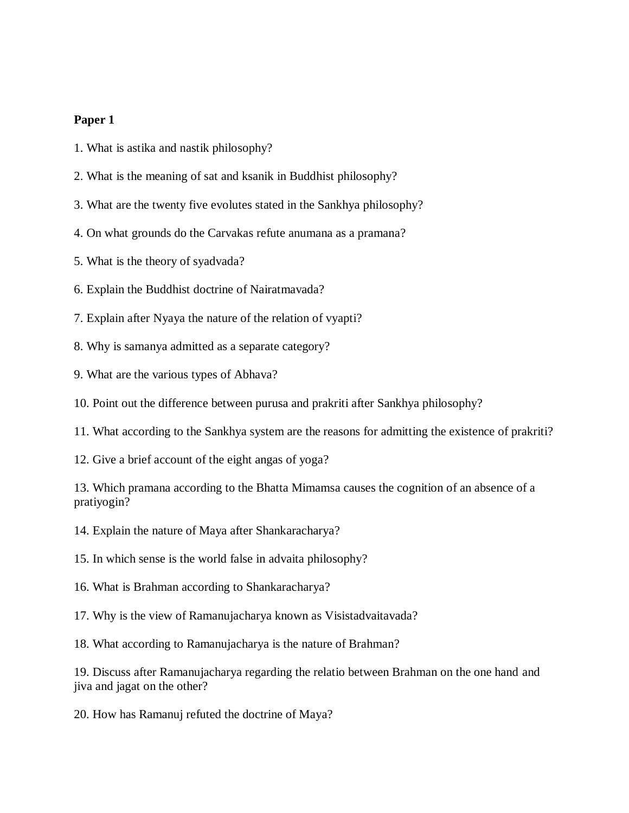#### **Paper 1**

- 1. What is astika and nastik philosophy?
- 2. What is the meaning of sat and ksanik in Buddhist philosophy?
- 3. What are the twenty five evolutes stated in the Sankhya philosophy?
- 4. On what grounds do the Carvakas refute anumana as a pramana?
- 5. What is the theory of syadvada?
- 6. Explain the Buddhist doctrine of Nairatmavada?
- 7. Explain after Nyaya the nature of the relation of vyapti?
- 8. Why is samanya admitted as a separate category?
- 9. What are the various types of Abhava?
- 10. Point out the difference between purusa and prakriti after Sankhya philosophy?
- 11. What according to the Sankhya system are the reasons for admitting the existence of prakriti?
- 12. Give a brief account of the eight angas of yoga?

13. Which pramana according to the Bhatta Mimamsa causes the cognition of an absence of a pratiyogin?

14. Explain the nature of Maya after Shankaracharya?

15. In which sense is the world false in advaita philosophy?

- 16. What is Brahman according to Shankaracharya?
- 17. Why is the view of Ramanujacharya known as Visistadvaitavada?
- 18. What according to Ramanujacharya is the nature of Brahman?

19. Discuss after Ramanujacharya regarding the relatio between Brahman on the one hand and jiva and jagat on the other?

20. How has Ramanuj refuted the doctrine of Maya?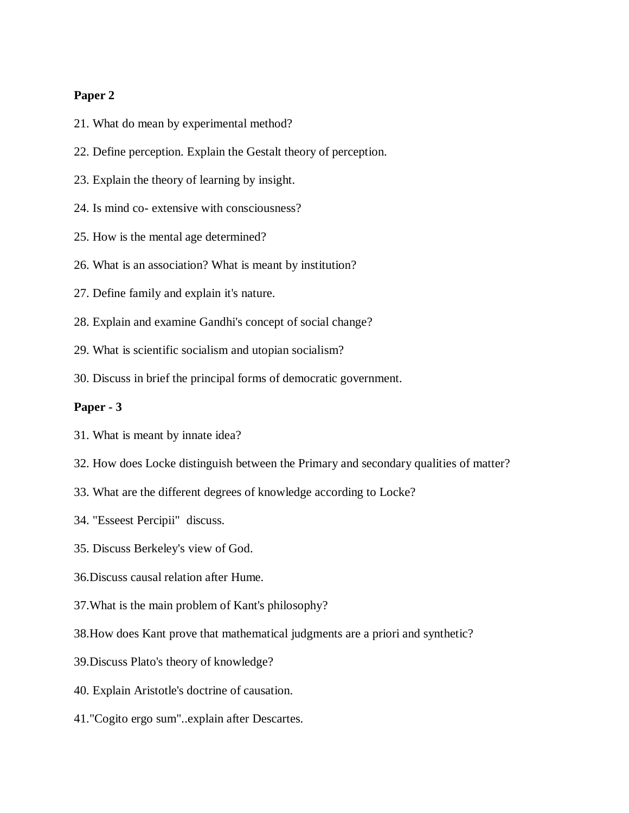#### **Paper 2**

- 21. What do mean by experimental method?
- 22. Define perception. Explain the Gestalt theory of perception.
- 23. Explain the theory of learning by insight.
- 24. Is mind co- extensive with consciousness?
- 25. How is the mental age determined?
- 26. What is an association? What is meant by institution?
- 27. Define family and explain it's nature.
- 28. Explain and examine Gandhi's concept of social change?
- 29. What is scientific socialism and utopian socialism?
- 30. Discuss in brief the principal forms of democratic government.

#### **Paper - 3**

- 31. What is meant by innate idea?
- 32. How does Locke distinguish between the Primary and secondary qualities of matter?
- 33. What are the different degrees of knowledge according to Locke?
- 34. "Esseest Percipii" discuss.
- 35. Discuss Berkeley's view of God.
- 36.Discuss causal relation after Hume.
- 37.What is the main problem of Kant's philosophy?
- 38.How does Kant prove that mathematical judgments are a priori and synthetic?
- 39.Discuss Plato's theory of knowledge?
- 40. Explain Aristotle's doctrine of causation.
- 41."Cogito ergo sum"..explain after Descartes.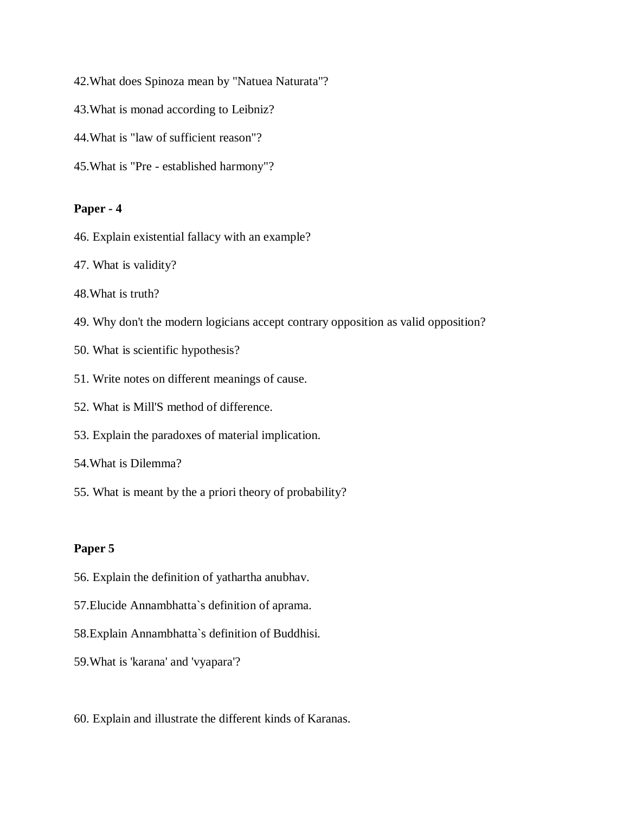- 42.What does Spinoza mean by "Natuea Naturata"?
- 43.What is monad according to Leibniz?
- 44.What is "law of sufficient reason"?
- 45.What is "Pre established harmony"?

## **Paper - 4**

- 46. Explain existential fallacy with an example?
- 47. What is validity?
- 48.What is truth?
- 49. Why don't the modern logicians accept contrary opposition as valid opposition?
- 50. What is scientific hypothesis?
- 51. Write notes on different meanings of cause.
- 52. What is Mill'S method of difference.
- 53. Explain the paradoxes of material implication.
- 54.What is Dilemma?
- 55. What is meant by the a priori theory of probability?

## **Paper 5**

- 56. Explain the definition of yathartha anubhav.
- 57.Elucide Annambhatta`s definition of aprama.
- 58.Explain Annambhatta`s definition of Buddhisi.
- 59.What is 'karana' and 'vyapara'?
- 60. Explain and illustrate the different kinds of Karanas.